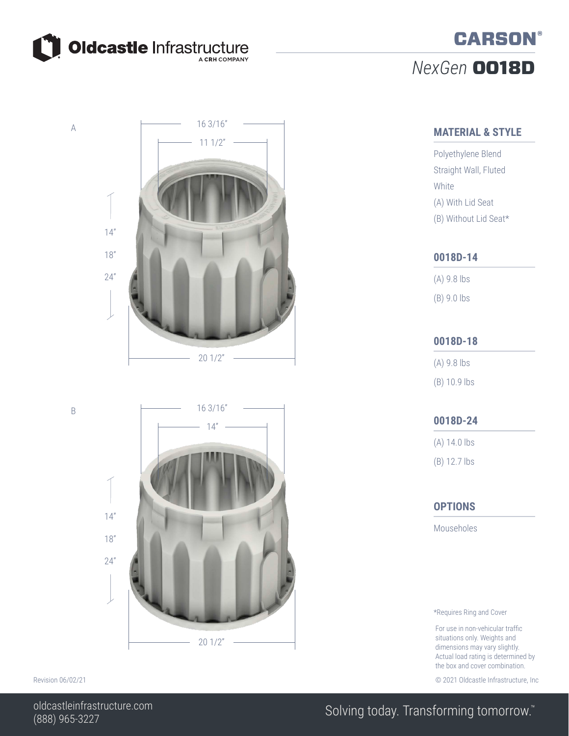

A

B

# *NexGen* 0018D **CARSON®**

#### **MATERIAL & STYLE**

Polyethylene Blend Straight Wall, Fluted White (A) With Lid Seat (B) Without Lid Seat\*

#### **0018D-14**

(A) 9.8 lbs

### (B) 9.0 lbs

#### **0018D-18**

(A) 9.8 lbs (B) 10.9 lbs

#### **0018D-24**

(A) 14.0 lbs

(B) 12.7 lbs

#### **OPTIONS**

Mouseholes

\*Requires Ring and Cover

For use in non-vehicular traffic situations only. Weights and dimensions may vary slightly. Actual load rating is determined by the box and cover combination.

Revision 06/02/21 **Details and COVID-2021** Oldcastle Infrastructure, Inc. Covid-2021 Oldcastle Infrastructure, Inc.





### Solving today. Transforming tomorrow.<sup>™</sup>